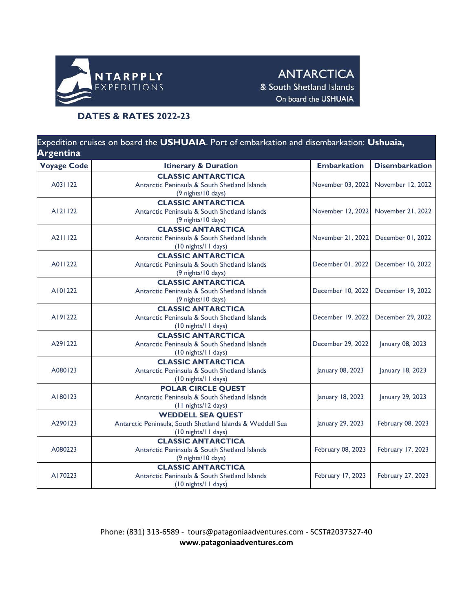

**ANTARCTICA** & South Shetland Islands On board the USHUAIA

## **DATES & RATES 2022-23**

| Expedition cruises on board the USHUAIA. Port of embarkation and disembarkation: Ushuaia,<br><b>Argentina</b> |                                                                                                              |                    |                       |  |  |  |
|---------------------------------------------------------------------------------------------------------------|--------------------------------------------------------------------------------------------------------------|--------------------|-----------------------|--|--|--|
| <b>Voyage Code</b>                                                                                            | <b>Itinerary &amp; Duration</b>                                                                              | <b>Embarkation</b> | <b>Disembarkation</b> |  |  |  |
| A031122                                                                                                       | <b>CLASSIC ANTARCTICA</b><br>Antarctic Peninsula & South Shetland Islands<br>(9 nights/10 days)              | November 03, 2022  | November 12, 2022     |  |  |  |
| A121122                                                                                                       | <b>CLASSIC ANTARCTICA</b><br>Antarctic Peninsula & South Shetland Islands<br>(9 nights/10 days)              | November 12, 2022  | November 21, 2022     |  |  |  |
| A211122                                                                                                       | <b>CLASSIC ANTARCTICA</b><br>Antarctic Peninsula & South Shetland Islands<br>(10 nights/11 days)             | November 21, 2022  | December 01, 2022     |  |  |  |
| A011222                                                                                                       | <b>CLASSIC ANTARCTICA</b><br>Antarctic Peninsula & South Shetland Islands<br>(9 nights/10 days)              | December 01, 2022  | December 10, 2022     |  |  |  |
| A101222                                                                                                       | <b>CLASSIC ANTARCTICA</b><br>Antarctic Peninsula & South Shetland Islands<br>(9 nights/10 days)              | December 10, 2022  | December 19, 2022     |  |  |  |
| A191222                                                                                                       | <b>CLASSIC ANTARCTICA</b><br>Antarctic Peninsula & South Shetland Islands<br>(10 nights/11 days)             | December 19, 2022  | December 29, 2022     |  |  |  |
| A291222                                                                                                       | <b>CLASSIC ANTARCTICA</b><br>Antarctic Peninsula & South Shetland Islands<br>(10 nights/11 days)             | December 29, 2022  | January 08, 2023      |  |  |  |
| A080123                                                                                                       | <b>CLASSIC ANTARCTICA</b><br>Antarctic Peninsula & South Shetland Islands<br>(10 nights/11 days)             | January 08, 2023   | January 18, 2023      |  |  |  |
| A180123                                                                                                       | <b>POLAR CIRCLE QUEST</b><br>Antarctic Peninsula & South Shetland Islands<br>(11 nights/12 days)             | January 18, 2023   | January 29, 2023      |  |  |  |
| A290123                                                                                                       | <b>WEDDELL SEA QUEST</b><br>Antarctic Peninsula, South Shetland Islands & Weddell Sea<br>(10 nights/11 days) | January 29, 2023   | February 08, 2023     |  |  |  |
| A080223                                                                                                       | <b>CLASSIC ANTARCTICA</b><br>Antarctic Peninsula & South Shetland Islands<br>(9 nights/10 days)              | February 08, 2023  | February 17, 2023     |  |  |  |
| A170223                                                                                                       | <b>CLASSIC ANTARCTICA</b><br>Antarctic Peninsula & South Shetland Islands<br>(10 nights/11 days)             | February 17, 2023  | February 27, 2023     |  |  |  |

Phone: (831) 313-6589 - tours@patagoniaadventures.com - SCST#2037327-40 **www.patagoniaadventures.com**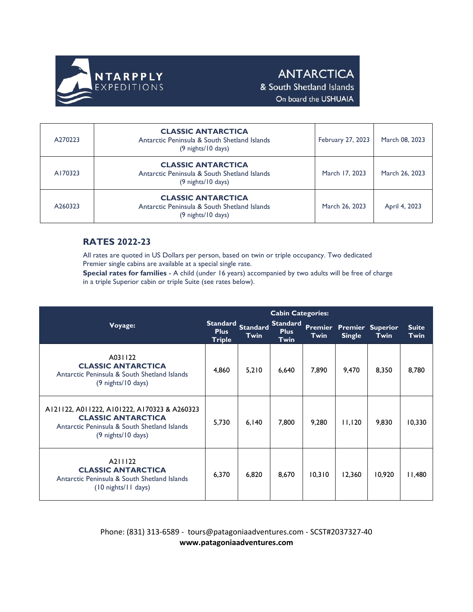

## **ANTARCTICA**

& South Shetland Islands On board the USHUAIA

| A270223 | <b>CLASSIC ANTARCTICA</b><br>Antarctic Peninsula & South Shetland Islands<br>(9 nights/10 days) | February 27, 2023 | March 08, 2023 |
|---------|-------------------------------------------------------------------------------------------------|-------------------|----------------|
| A170323 | <b>CLASSIC ANTARCTICA</b><br>Antarctic Peninsula & South Shetland Islands<br>(9 nights/10 days) | March 17, 2023    | March 26, 2023 |
| A260323 | <b>CLASSIC ANTARCTICA</b><br>Antarctic Peninsula & South Shetland Islands<br>(9 nights/10 days) | March 26, 2023    | April 4, 2023  |

## **RATES 2022-23**

All rates are quoted in US Dollars per person, based on twin or triple occupancy. Two dedicated Premier single cabins are available at a special single rate.

**Special rates for families** - A child (under 16 years) accompanied by two adults will be free of charge in a triple Superior cabin or triple Suite (see rates below).

|                                                                                                                                                 |                              | <b>Cabin Categories:</b>  |                                        |        |                                                  |             |                             |
|-------------------------------------------------------------------------------------------------------------------------------------------------|------------------------------|---------------------------|----------------------------------------|--------|--------------------------------------------------|-------------|-----------------------------|
| Voyage:                                                                                                                                         | <b>Plus</b><br><b>Triple</b> | Standard Standard<br>Twin | <b>Standard</b><br><b>Plus</b><br>Twin | Twin   | <b>Premier Premier Superior</b><br><b>Single</b> | <b>Twin</b> | <b>Suite</b><br><b>Twin</b> |
| A031122<br><b>CLASSIC ANTARCTICA</b><br>Antarctic Peninsula & South Shetland Islands<br>(9 nights/10 days)                                      | 4,860                        | 5,210                     | 6,640                                  | 7,890  | 9,470                                            | 8,350       | 8,780                       |
| A121122, A011222, A101222, A170323 & A260323<br><b>CLASSIC ANTARCTICA</b><br>Antarctic Peninsula & South Shetland Islands<br>(9 nights/10 days) | 5,730                        | 6,140                     | 7,800                                  | 9,280  | 11,120                                           | 9,830       | 10,330                      |
| A211122<br><b>CLASSIC ANTARCTICA</b><br>Antarctic Peninsula & South Shetland Islands<br>$(10$ nights/11 days)                                   | 6,370                        | 6,820                     | 8,670                                  | 10.310 | 12,360                                           | 10.920      | 11,480                      |

Phone: (831) 313-6589 - tours@patagoniaadventures.com - SCST#2037327-40 **www.patagoniaadventures.com**